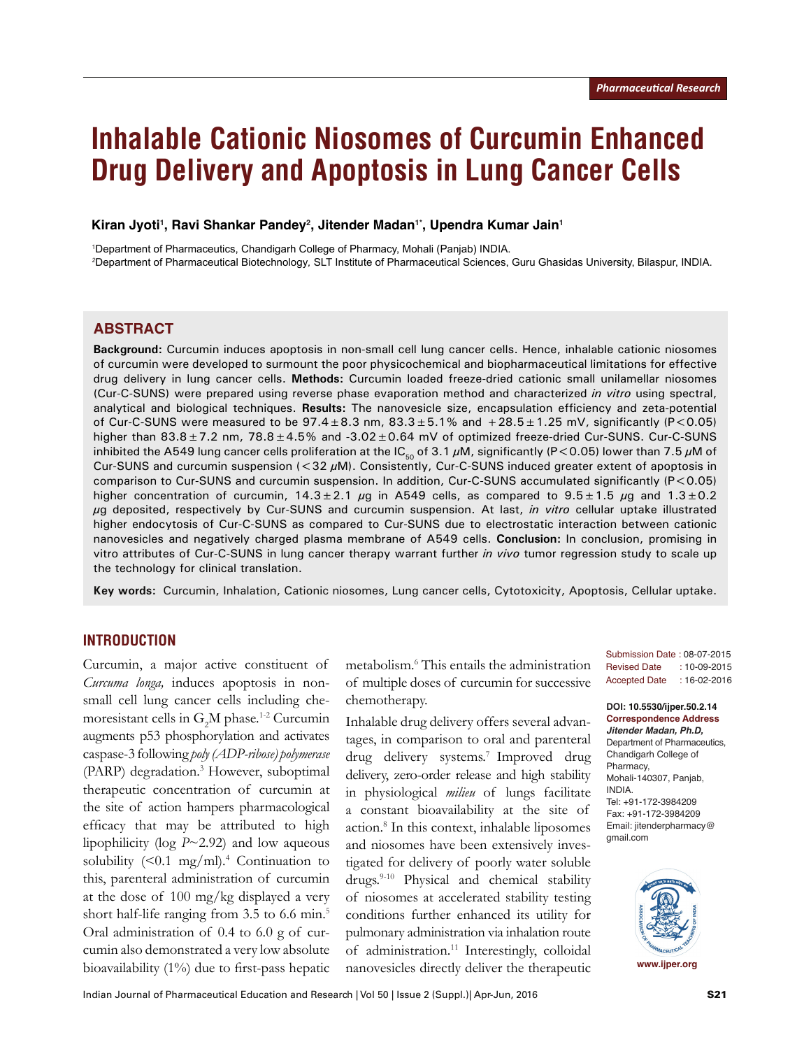# **Inhalable Cationic Niosomes of Curcumin Enhanced Drug Delivery and Apoptosis in Lung Cancer Cells**

Kiran Jyoti<sup>1</sup>, Ravi Shankar Pandey<sup>2</sup>, Jitender Madan<sup>1</sup>\*, Upendra Kumar Jain<sup>1</sup>

1 Department of Pharmaceutics, Chandigarh College of Pharmacy, Mohali (Panjab) INDIA. *2* Department of Pharmaceutical Biotechnology*,* SLT Institute of Pharmaceutical Sciences, Guru Ghasidas University, Bilaspur, INDIA.

#### **ABSTRACT**

**Background:** Curcumin induces apoptosis in non-small cell lung cancer cells. Hence, inhalable cationic niosomes of curcumin were developed to surmount the poor physicochemical and biopharmaceutical limitations for effective drug delivery in lung cancer cells. **Methods:** Curcumin loaded freeze-dried cationic small unilamellar niosomes (Cur-C-SUNS) were prepared using reverse phase evaporation method and characterized *in vitro* using spectral, analytical and biological techniques. **Results:** The nanovesicle size, encapsulation efficiency and zeta-potential of Cur-C-SUNS were measured to be  $97.4 \pm 8.3$  nm,  $83.3 \pm 5.1\%$  and  $+28.5 \pm 1.25$  mV, significantly (P<0.05) higher than  $83.8 \pm 7.2$  nm,  $78.8 \pm 4.5\%$  and  $-3.02 \pm 0.64$  mV of optimized freeze-dried Cur-SUNS. Cur-C-SUNS inhibited the A549 lung cancer cells proliferation at the IC<sub>50</sub> of 3.1  $\mu$ M, significantly (P<0.05) lower than 7.5  $\mu$ M of Cur-SUNS and curcumin suspension  $( $32 \mu$ M). Consistently, Cur-C-SUNS induced greater extent of apoptosis in$ comparison to Cur-SUNS and curcumin suspension. In addition, Cur-C-SUNS accumulated significantly (P<0.05) higher concentration of curcumin,  $14.3 \pm 2.1$  µg in A549 cells, as compared to  $9.5 \pm 1.5$  µg and  $1.3 \pm 0.2$ μg deposited, respectively by Cur-SUNS and curcumin suspension. At last, *in vitro* cellular uptake illustrated higher endocytosis of Cur-C-SUNS as compared to Cur-SUNS due to electrostatic interaction between cationic nanovesicles and negatively charged plasma membrane of A549 cells. **Conclusion:** In conclusion, promising in vitro attributes of Cur-C-SUNS in lung cancer therapy warrant further *in vivo* tumor regression study to scale up the technology for clinical translation.

**Key words:** Curcumin, Inhalation, Cationic niosomes, Lung cancer cells, Cytotoxicity, Apoptosis, Cellular uptake.

### **INTRODUCTION**

Curcumin, a major active constituent of *Curcuma longa,* induces apoptosis in nonsmall cell lung cancer cells including chemoresistant cells in  $G_2M$  phase.<sup>1-2</sup> Curcumin augments p53 phosphorylation and activates caspase-3 following *poly (ADP-ribose) polymerase*  (PARP) degradation.<sup>3</sup> However, suboptimal therapeutic concentration of curcumin at the site of action hampers pharmacological efficacy that may be attributed to high lipophilicity (log *P*~2.92) and low aqueous solubility  $($  < 0.1 mg/ml).<sup>4</sup> Continuation to this, parenteral administration of curcumin at the dose of 100 mg/kg displayed a very short half-life ranging from 3.5 to 6.6 min.<sup>5</sup> Oral administration of 0.4 to 6.0 g of curcumin also demonstrated a very low absolute bioavailability (1%) due to first-pass hepatic

metabolism.6 This entails the administration of multiple doses of curcumin for successive chemotherapy.

Inhalable drug delivery offers several advantages, in comparison to oral and parenteral drug delivery systems.<sup>7</sup> Improved drug delivery, zero-order release and high stability in physiological *milieu* of lungs facilitate a constant bioavailability at the site of action.8 In this context, inhalable liposomes and niosomes have been extensively investigated for delivery of poorly water soluble drugs.9-10 Physical and chemical stability of niosomes at accelerated stability testing conditions further enhanced its utility for pulmonary administration via inhalation route of administration.<sup>11</sup> Interestingly, colloidal nanovesicles directly deliver the therapeutic

Submission Date : 08-07-2015 Revised Date : 10-09-2015 Accepted Date : 16-02-2016

**DOI: 10.5530/ijper.50.2.14 Correspondence Address** *Jitender Madan, Ph.D,*  Department of Pharmaceutics, Chandigarh College of Pharmacy, Mohali-140307, Panjab, INDIA. Tel: +91-172-3984209 Fax: +91-172-3984209 Email: jitenderpharmacy@ gmail.com

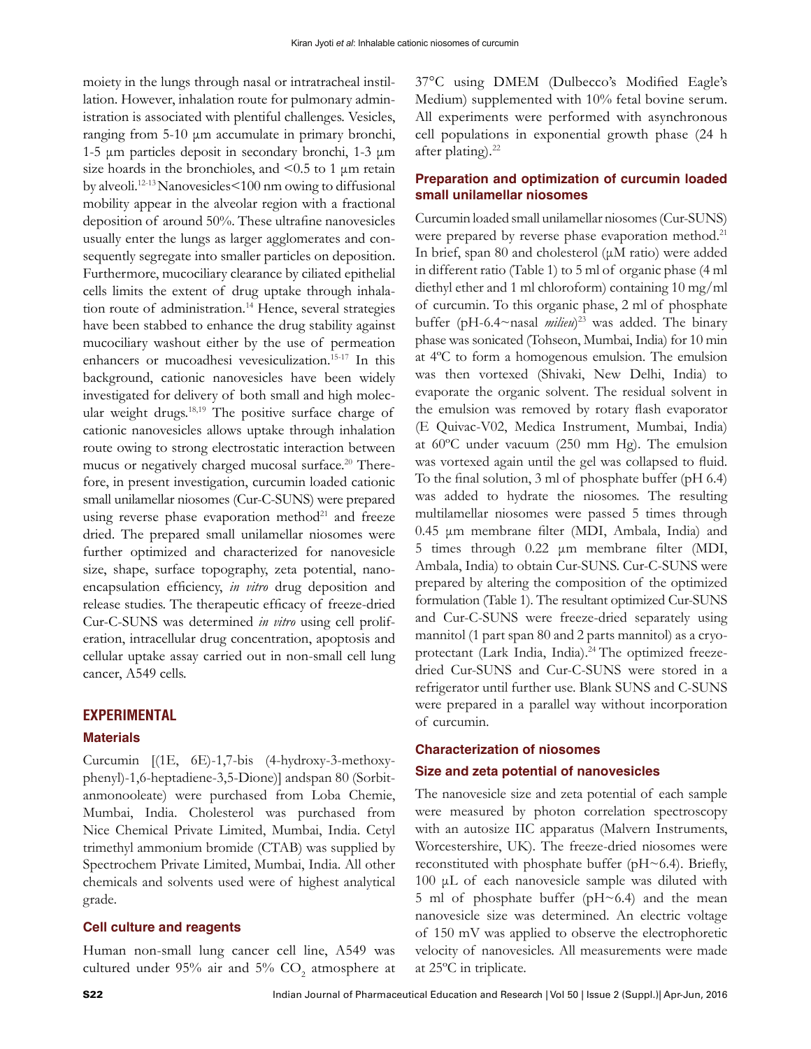moiety in the lungs through nasal or intratracheal instillation. However, inhalation route for pulmonary administration is associated with plentiful challenges. Vesicles, ranging from 5-10 μm accumulate in primary bronchi, 1-5 μm particles deposit in secondary bronchi, 1-3 μm size hoards in the bronchioles, and <0.5 to 1 μm retain by alveoli.12-13 Nanovesicles<100 nm owing to diffusional mobility appear in the alveolar region with a fractional deposition of around 50%. These ultrafine nanovesicles usually enter the lungs as larger agglomerates and consequently segregate into smaller particles on deposition. Furthermore, mucociliary clearance by ciliated epithelial cells limits the extent of drug uptake through inhalation route of administration.<sup>14</sup> Hence, several strategies have been stabbed to enhance the drug stability against mucociliary washout either by the use of permeation enhancers or mucoadhesi vevesiculization.<sup>15-17</sup> In this background, cationic nanovesicles have been widely investigated for delivery of both small and high molecular weight drugs.<sup>18,19</sup> The positive surface charge of cationic nanovesicles allows uptake through inhalation route owing to strong electrostatic interaction between mucus or negatively charged mucosal surface.<sup>20</sup> Therefore, in present investigation, curcumin loaded cationic small unilamellar niosomes (Cur-C-SUNS) were prepared using reverse phase evaporation method<sup>21</sup> and freeze dried. The prepared small unilamellar niosomes were further optimized and characterized for nanovesicle size, shape, surface topography, zeta potential, nanoencapsulation efficiency, *in vitro* drug deposition and release studies. The therapeutic efficacy of freeze-dried Cur-C-SUNS was determined *in vitro* using cell proliferation, intracellular drug concentration, apoptosis and cellular uptake assay carried out in non-small cell lung cancer, A549 cells.

#### **EXPERIMENTAL**

#### **Materials**

Curcumin [(1E, 6E)-1,7-bis (4-hydroxy-3-methoxyphenyl)-1,6-heptadiene-3,5-Dione)] andspan 80 (Sorbitanmonooleate) were purchased from Loba Chemie, Mumbai, India. Cholesterol was purchased from Nice Chemical Private Limited, Mumbai, India. Cetyl trimethyl ammonium bromide (CTAB) was supplied by Spectrochem Private Limited, Mumbai, India. All other chemicals and solvents used were of highest analytical grade.

#### **Cell culture and reagents**

Human non-small lung cancer cell line, A549 was cultured under 95% air and 5%  $CO_2$  atmosphere at 37°C using DMEM (Dulbecco's Modified Eagle's Medium) supplemented with 10% fetal bovine serum. All experiments were performed with asynchronous cell populations in exponential growth phase (24 h after plating). $^{22}$ 

#### **Preparation and optimization of curcumin loaded small unilamellar niosomes**

Curcumin loaded small unilamellar niosomes (Cur-SUNS) were prepared by reverse phase evaporation method.<sup>21</sup> In brief, span 80 and cholesterol (μM ratio) were added in different ratio (Table 1) to 5 ml of organic phase (4 ml diethyl ether and 1 ml chloroform) containing 10 mg/ml of curcumin. To this organic phase, 2 ml of phosphate buffer (pH-6.4~nasal *milieu*) 23 was added. The binary phase was sonicated (Tohseon, Mumbai, India) for 10 min at 4ºC to form a homogenous emulsion. The emulsion was then vortexed (Shivaki, New Delhi, India) to evaporate the organic solvent. The residual solvent in the emulsion was removed by rotary flash evaporator (E Quivac-V02, Medica Instrument, Mumbai, India) at 60ºC under vacuum (250 mm Hg). The emulsion was vortexed again until the gel was collapsed to fluid. To the final solution, 3 ml of phosphate buffer (pH 6.4) was added to hydrate the niosomes. The resulting multilamellar niosomes were passed 5 times through 0.45 μm membrane filter (MDI, Ambala, India) and 5 times through 0.22 μm membrane filter (MDI, Ambala, India) to obtain Cur-SUNS. Cur-C-SUNS were prepared by altering the composition of the optimized formulation (Table 1). The resultant optimized Cur-SUNS and Cur-C-SUNS were freeze-dried separately using mannitol (1 part span 80 and 2 parts mannitol) as a cryoprotectant (Lark India, India).<sup>24</sup> The optimized freezedried Cur-SUNS and Cur-C-SUNS were stored in a refrigerator until further use. Blank SUNS and C-SUNS were prepared in a parallel way without incorporation of curcumin.

#### **Characterization of niosomes**

#### **Size and zeta potential of nanovesicles**

The nanovesicle size and zeta potential of each sample were measured by photon correlation spectroscopy with an autosize IIC apparatus (Malvern Instruments, Worcestershire, UK). The freeze-dried niosomes were reconstituted with phosphate buffer (pH~6.4). Briefly, 100 μL of each nanovesicle sample was diluted with 5 ml of phosphate buffer (pH~6.4) and the mean nanovesicle size was determined. An electric voltage of 150 mV was applied to observe the electrophoretic velocity of nanovesicles. All measurements were made at 25ºC in triplicate.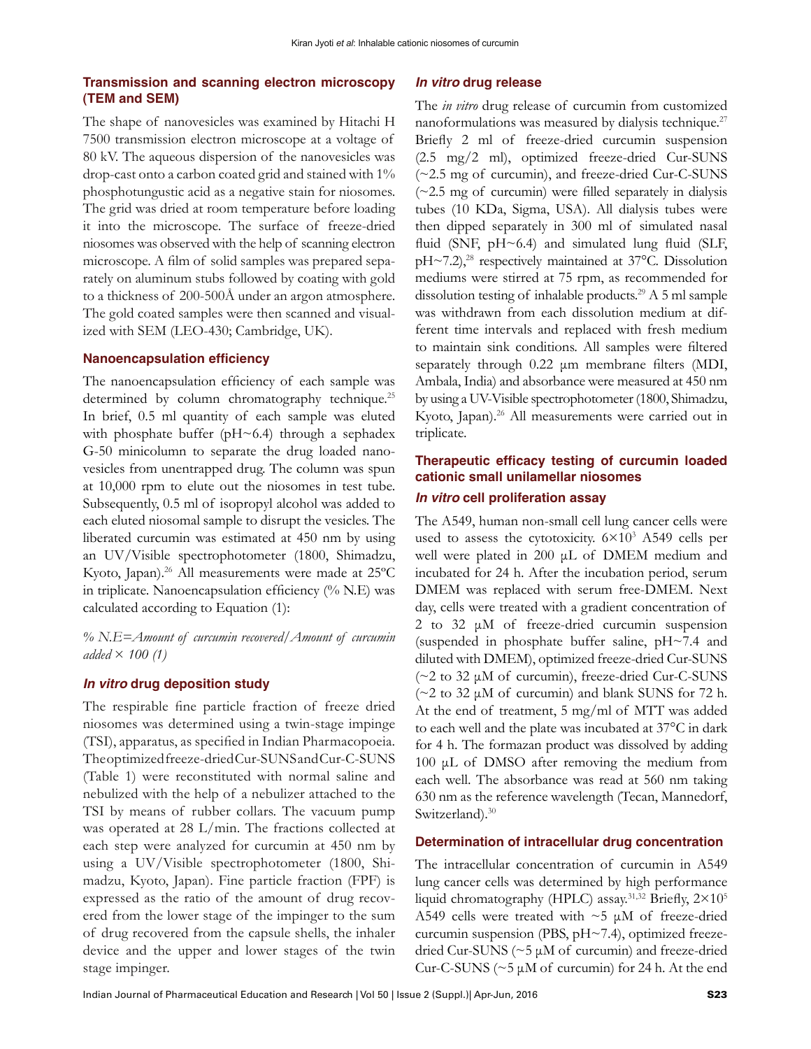#### **Transmission and scanning electron microscopy (TEM and SEM)**

The shape of nanovesicles was examined by Hitachi H 7500 transmission electron microscope at a voltage of 80 kV. The aqueous dispersion of the nanovesicles was drop-cast onto a carbon coated grid and stained with 1% phosphotungustic acid as a negative stain for niosomes. The grid was dried at room temperature before loading it into the microscope. The surface of freeze-dried niosomes was observed with the help of scanning electron microscope. A film of solid samples was prepared separately on aluminum stubs followed by coating with gold to a thickness of 200-500Å under an argon atmosphere. The gold coated samples were then scanned and visualized with SEM (LEO-430; Cambridge, UK).

#### **Nanoencapsulation efficiency**

The nanoencapsulation efficiency of each sample was determined by column chromatography technique.<sup>25</sup> In brief, 0.5 ml quantity of each sample was eluted with phosphate buffer ( $pH \sim 6.4$ ) through a sephadex G-50 minicolumn to separate the drug loaded nanovesicles from unentrapped drug. The column was spun at 10,000 rpm to elute out the niosomes in test tube. Subsequently, 0.5 ml of isopropyl alcohol was added to each eluted niosomal sample to disrupt the vesicles. The liberated curcumin was estimated at 450 nm by using an UV/Visible spectrophotometer (1800, Shimadzu, Kyoto, Japan).26 All measurements were made at 25ºC in triplicate. Nanoencapsulation efficiency (% N.E) was calculated according to Equation (1):

*% N.E=Amount of curcumin recovered/Amount of curcumin added* × *100 (1)*

#### *In vitro* **drug deposition study**

The respirable fine particle fraction of freeze dried niosomes was determined using a twin-stage impinge (TSI), apparatus, as specified in Indian Pharmacopoeia. The optimized freeze-dried Cur-SUNS and Cur-C-SUNS (Table 1) were reconstituted with normal saline and nebulized with the help of a nebulizer attached to the TSI by means of rubber collars. The vacuum pump was operated at 28 L/min. The fractions collected at each step were analyzed for curcumin at 450 nm by using a UV/Visible spectrophotometer (1800, Shimadzu, Kyoto, Japan). Fine particle fraction (FPF) is expressed as the ratio of the amount of drug recovered from the lower stage of the impinger to the sum of drug recovered from the capsule shells, the inhaler device and the upper and lower stages of the twin stage impinger.

#### *In vitro* **drug release**

The *in vitro* drug release of curcumin from customized nanoformulations was measured by dialysis technique.27 Briefly 2 ml of freeze-dried curcumin suspension (2.5 mg/2 ml), optimized freeze-dried Cur-SUNS (~2.5 mg of curcumin), and freeze-dried Cur-C-SUNS (~2.5 mg of curcumin) were filled separately in dialysis tubes (10 KDa, Sigma, USA). All dialysis tubes were then dipped separately in 300 ml of simulated nasal fluid (SNF, pH~6.4) and simulated lung fluid (SLF,  $pH \sim 7.2$ ),<sup>28</sup> respectively maintained at 37 $^{\circ}$ C. Dissolution mediums were stirred at 75 rpm, as recommended for dissolution testing of inhalable products.29 A 5 ml sample was withdrawn from each dissolution medium at different time intervals and replaced with fresh medium to maintain sink conditions. All samples were filtered separately through 0.22 μm membrane filters (MDI, Ambala, India) and absorbance were measured at 450 nm by using a UV-Visible spectrophotometer (1800, Shimadzu, Kyoto, Japan).<sup>26</sup> All measurements were carried out in triplicate.

#### **Therapeutic efficacy testing of curcumin loaded cationic small unilamellar niosomes** *In vitro* **cell proliferation assay**

## The A549, human non-small cell lung cancer cells were used to assess the cytotoxicity. 6×103 A549 cells per well were plated in 200 μL of DMEM medium and

incubated for 24 h. After the incubation period, serum DMEM was replaced with serum free-DMEM. Next day, cells were treated with a gradient concentration of 2 to 32 μM of freeze-dried curcumin suspension (suspended in phosphate buffer saline, pH~7.4 and diluted with DMEM), optimized freeze-dried Cur-SUNS (~2 to 32 μM of curcumin), freeze-dried Cur-C-SUNS (~2 to 32 μM of curcumin) and blank SUNS for 72 h. At the end of treatment, 5 mg/ml of MTT was added to each well and the plate was incubated at 37°C in dark for 4 h. The formazan product was dissolved by adding 100 μL of DMSO after removing the medium from each well. The absorbance was read at 560 nm taking 630 nm as the reference wavelength (Tecan, Mannedorf, Switzerland).<sup>30</sup>

#### **Determination of intracellular drug concentration**

The intracellular concentration of curcumin in A549 lung cancer cells was determined by high performance liquid chromatography (HPLC) assay.<sup>31,32</sup> Briefly,  $2 \times 10^5$ A549 cells were treated with  $\sim$ 5  $\mu$ M of freeze-dried curcumin suspension (PBS, pH~7.4), optimized freezedried Cur-SUNS (~5 μM of curcumin) and freeze-dried Cur-C-SUNS ( $\sim$ 5  $\mu$ M of curcumin) for 24 h. At the end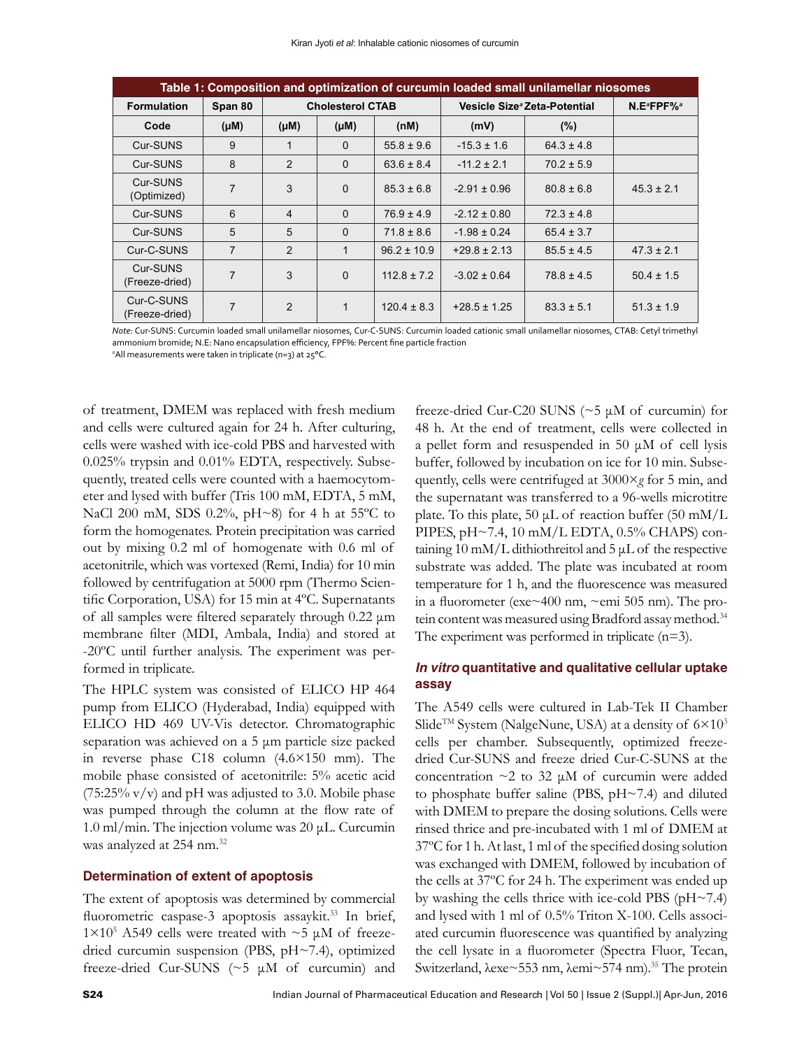| Table 1: Composition and optimization of curcumin loaded small unilamellar niosomes |                |                         |           |                 |                                          |                |                                    |
|-------------------------------------------------------------------------------------|----------------|-------------------------|-----------|-----------------|------------------------------------------|----------------|------------------------------------|
| <b>Formulation</b>                                                                  | Span 80        | <b>Cholesterol CTAB</b> |           |                 | Vesicle Size <sup>®</sup> Zeta-Potential |                | N.E <sup>a</sup> FPF% <sup>a</sup> |
| Code                                                                                | (Mu)           | $(\mu M)$               | $(\mu M)$ | (nM)            | (mV)                                     | (%)            |                                    |
| Cur-SUNS                                                                            | 9              | 1                       | $\Omega$  | $55.8 \pm 9.6$  | $-15.3 \pm 1.6$                          | $64.3 \pm 4.8$ |                                    |
| Cur-SUNS                                                                            | 8              | 2                       | $\Omega$  | $63.6 \pm 8.4$  | $-11.2 \pm 2.1$                          | $70.2 \pm 5.9$ |                                    |
| Cur-SUNS<br>(Optimized)                                                             | $\overline{7}$ | 3                       | $\Omega$  | $85.3 \pm 6.8$  | $-2.91 \pm 0.96$                         | $80.8 \pm 6.8$ | $45.3 \pm 2.1$                     |
| Cur-SUNS                                                                            | 6              | $\overline{4}$          | $\Omega$  | $76.9 \pm 4.9$  | $-2.12 \pm 0.80$                         | $72.3 \pm 4.8$ |                                    |
| Cur-SUNS                                                                            | 5              | 5                       | $\Omega$  | $71.8 \pm 8.6$  | $-1.98 \pm 0.24$                         | $65.4 \pm 3.7$ |                                    |
| Cur-C-SUNS                                                                          | $\overline{7}$ | $\mathcal{P}$           | 1         | $96.2 \pm 10.9$ | $+29.8 \pm 2.13$                         | $85.5 \pm 4.5$ | $47.3 \pm 2.1$                     |
| Cur-SUNS<br>(Freeze-dried)                                                          | 7              | 3                       | $\Omega$  | $112.8 \pm 7.2$ | $-3.02 \pm 0.64$                         | $78.8 \pm 4.5$ | $50.4 \pm 1.5$                     |
| Cur-C-SUNS<br>(Freeze-dried)                                                        | 7              | 2                       | 1         | $120.4 \pm 8.3$ | $+28.5 \pm 1.25$                         | $83.3 \pm 5.1$ | $51.3 \pm 1.9$                     |

*Note*: Cur-SUNS: Curcumin loaded small unilamellar niosomes, Cur-C-SUNS: Curcumin loaded cationic small unilamellar niosomes, CTAB: Cetyl trimethyl ammonium bromide; N.E: Nano encapsulation efficiency, FPF%: Percent fine particle fraction

*a* All measurements were taken in triplicate (n=3) at 25°C.

of treatment, DMEM was replaced with fresh medium and cells were cultured again for 24 h. After culturing, cells were washed with ice-cold PBS and harvested with 0.025% trypsin and 0.01% EDTA, respectively. Subsequently, treated cells were counted with a haemocytometer and lysed with buffer (Tris 100 mM, EDTA, 5 mM, NaCl 200 mM, SDS 0.2%, pH~8) for 4 h at 55ºC to form the homogenates. Protein precipitation was carried out by mixing 0.2 ml of homogenate with 0.6 ml of acetonitrile, which was vortexed (Remi, India) for 10 min followed by centrifugation at 5000 rpm (Thermo Scientific Corporation, USA) for 15 min at 4ºC. Supernatants of all samples were filtered separately through 0.22 μm membrane filter (MDI, Ambala, India) and stored at -20ºC until further analysis. The experiment was performed in triplicate.

The HPLC system was consisted of ELICO HP 464 pump from ELICO (Hyderabad, India) equipped with ELICO HD 469 UV-Vis detector. Chromatographic separation was achieved on a 5 μm particle size packed in reverse phase C18 column (4.6×150 mm). The mobile phase consisted of acetonitrile: 5% acetic acid  $(75:25\% \text{ v/v})$  and pH was adjusted to 3.0. Mobile phase was pumped through the column at the flow rate of 1.0 ml/min. The injection volume was 20 μL. Curcumin was analyzed at 254 nm.32

#### **Determination of extent of apoptosis**

The extent of apoptosis was determined by commercial fluorometric caspase-3 apoptosis assaykit.<sup>33</sup> In brief, 1×10<sup>5</sup> A549 cells were treated with ~5 μM of freezedried curcumin suspension (PBS, pH~7.4), optimized freeze-dried Cur-SUNS (~5 μM of curcumin) and

freeze-dried Cur-C20 SUNS (~5 μM of curcumin) for 48 h. At the end of treatment, cells were collected in a pellet form and resuspended in 50 μM of cell lysis buffer, followed by incubation on ice for 10 min. Subsequently, cells were centrifuged at 3000×*g* for 5 min, and the supernatant was transferred to a 96-wells microtitre plate. To this plate, 50  $\mu$ L of reaction buffer (50 mM/L) PIPES, pH~7.4, 10 mM/L EDTA, 0.5% CHAPS) containing 10 mM/L dithiothreitol and 5 μL of the respective substrate was added. The plate was incubated at room temperature for 1 h, and the fluorescence was measured in a fluorometer (exe~400 nm, ~emi 505 nm). The protein content was measured using Bradford assay method.<sup>34</sup> The experiment was performed in triplicate (n=3).

#### *In vitro* **quantitative and qualitative cellular uptake assay**

The A549 cells were cultured in Lab-Tek II Chamber Slide<sup>TM</sup> System (NalgeNune, USA) at a density of  $6 \times 10^3$ cells per chamber. Subsequently, optimized freezedried Cur-SUNS and freeze dried Cur-C-SUNS at the concentration ~2 to 32 μM of curcumin were added to phosphate buffer saline (PBS, pH~7.4) and diluted with DMEM to prepare the dosing solutions. Cells were rinsed thrice and pre-incubated with 1 ml of DMEM at 37ºC for 1 h. At last, 1 ml of the specified dosing solution was exchanged with DMEM, followed by incubation of the cells at 37ºC for 24 h. The experiment was ended up by washing the cells thrice with ice-cold PBS (pH~7.4) and lysed with 1 ml of 0.5% Triton X-100. Cells associated curcumin fluorescence was quantified by analyzing the cell lysate in a fluorometer (Spectra Fluor, Tecan, Switzerland, λexe~553 nm, λemi~574 nm).<sup>35</sup> The protein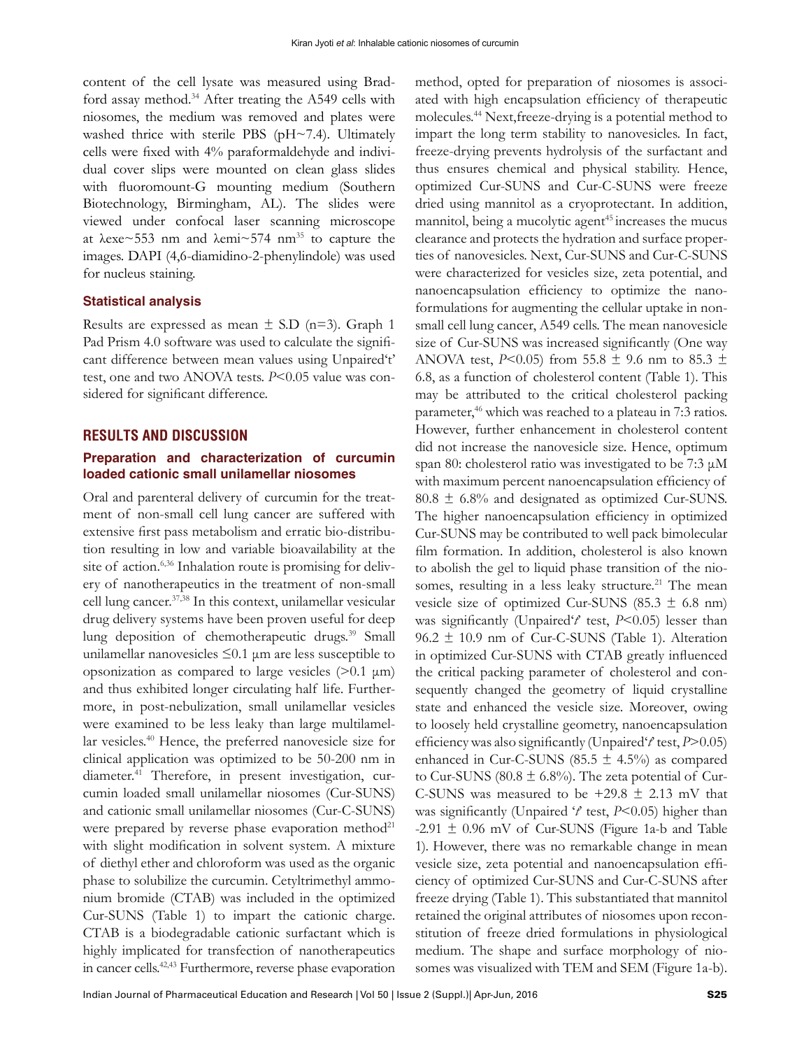content of the cell lysate was measured using Bradford assay method.<sup>34</sup> After treating the A549 cells with niosomes, the medium was removed and plates were washed thrice with sterile PBS (pH~7.4). Ultimately cells were fixed with 4% paraformaldehyde and individual cover slips were mounted on clean glass slides with fluoromount-G mounting medium (Southern Biotechnology, Birmingham, AL). The slides were viewed under confocal laser scanning microscope at  $\lambda$ exe~553 nm and  $\lambda$ emi~574 nm<sup>35</sup> to capture the images. DAPI (4,6-diamidino-2-phenylindole) was used for nucleus staining.

#### **Statistical analysis**

Results are expressed as mean  $\pm$  S.D (n=3). Graph 1 Pad Prism 4.0 software was used to calculate the significant difference between mean values using Unpaired't' test, one and two ANOVA tests. *P*<0.05 value was considered for significant difference.

#### **RESULTS AND DISCUSSION**

#### **Preparation and characterization of curcumin loaded cationic small unilamellar niosomes**

Oral and parenteral delivery of curcumin for the treatment of non-small cell lung cancer are suffered with extensive first pass metabolism and erratic bio-distribution resulting in low and variable bioavailability at the site of action.<sup>6,36</sup> Inhalation route is promising for delivery of nanotherapeutics in the treatment of non-small cell lung cancer.37,38 In this context, unilamellar vesicular drug delivery systems have been proven useful for deep lung deposition of chemotherapeutic drugs.<sup>39</sup> Small unilamellar nanovesicles  $\leq 0.1$   $\mu$ m are less susceptible to opsonization as compared to large vesicles (>0.1 μm) and thus exhibited longer circulating half life. Furthermore, in post-nebulization, small unilamellar vesicles were examined to be less leaky than large multilamellar vesicles.40 Hence, the preferred nanovesicle size for clinical application was optimized to be 50-200 nm in diameter.<sup>41</sup> Therefore, in present investigation, curcumin loaded small unilamellar niosomes (Cur-SUNS) and cationic small unilamellar niosomes (Cur-C-SUNS) were prepared by reverse phase evaporation method<sup>21</sup> with slight modification in solvent system. A mixture of diethyl ether and chloroform was used as the organic phase to solubilize the curcumin. Cetyltrimethyl ammonium bromide (CTAB) was included in the optimized Cur-SUNS (Table 1) to impart the cationic charge. CTAB is a biodegradable cationic surfactant which is highly implicated for transfection of nanotherapeutics in cancer cells.42,43 Furthermore, reverse phase evaporation

method, opted for preparation of niosomes is associated with high encapsulation efficiency of therapeutic molecules.44 Next,freeze-drying is a potential method to impart the long term stability to nanovesicles. In fact, freeze-drying prevents hydrolysis of the surfactant and thus ensures chemical and physical stability. Hence, optimized Cur-SUNS and Cur-C-SUNS were freeze dried using mannitol as a cryoprotectant. In addition, mannitol, being a mucolytic agent<sup>45</sup> increases the mucus clearance and protects the hydration and surface properties of nanovesicles. Next, Cur-SUNS and Cur-C-SUNS were characterized for vesicles size, zeta potential, and nanoencapsulation efficiency to optimize the nanoformulations for augmenting the cellular uptake in nonsmall cell lung cancer, A549 cells. The mean nanovesicle size of Cur-SUNS was increased significantly (One way ANOVA test, *P*<0.05) from 55.8  $\pm$  9.6 nm to 85.3  $\pm$ 6.8, as a function of cholesterol content (Table 1). This may be attributed to the critical cholesterol packing parameter,<sup>46</sup> which was reached to a plateau in 7:3 ratios. However, further enhancement in cholesterol content did not increase the nanovesicle size. Hence, optimum span 80: cholesterol ratio was investigated to be 7:3 μM with maximum percent nanoencapsulation efficiency of  $80.8 \pm 6.8\%$  and designated as optimized Cur-SUNS. The higher nanoencapsulation efficiency in optimized Cur-SUNS may be contributed to well pack bimolecular film formation. In addition, cholesterol is also known to abolish the gel to liquid phase transition of the niosomes, resulting in a less leaky structure.<sup>21</sup> The mean vesicle size of optimized Cur-SUNS (85.3  $\pm$  6.8 nm) was significantly (Unpaired'*t*' test, *P*<0.05) lesser than  $96.2 \pm 10.9$  nm of Cur-C-SUNS (Table 1). Alteration in optimized Cur-SUNS with CTAB greatly influenced the critical packing parameter of cholesterol and consequently changed the geometry of liquid crystalline state and enhanced the vesicle size. Moreover, owing to loosely held crystalline geometry, nanoencapsulation efficiency was also significantly (Unpaired'*t*' test, *P*>0.05) enhanced in Cur-C-SUNS (85.5  $\pm$  4.5%) as compared to Cur-SUNS (80.8  $\pm$  6.8%). The zeta potential of Cur-C-SUNS was measured to be  $+29.8 \pm 2.13$  mV that was significantly (Unpaired '*t*' test, *P*<0.05) higher than -2.91  $\pm$  0.96 mV of Cur-SUNS (Figure 1a-b and Table 1). However, there was no remarkable change in mean vesicle size, zeta potential and nanoencapsulation efficiency of optimized Cur-SUNS and Cur-C-SUNS after freeze drying (Table 1). This substantiated that mannitol retained the original attributes of niosomes upon reconstitution of freeze dried formulations in physiological medium. The shape and surface morphology of niosomes was visualized with TEM and SEM (Figure 1a-b).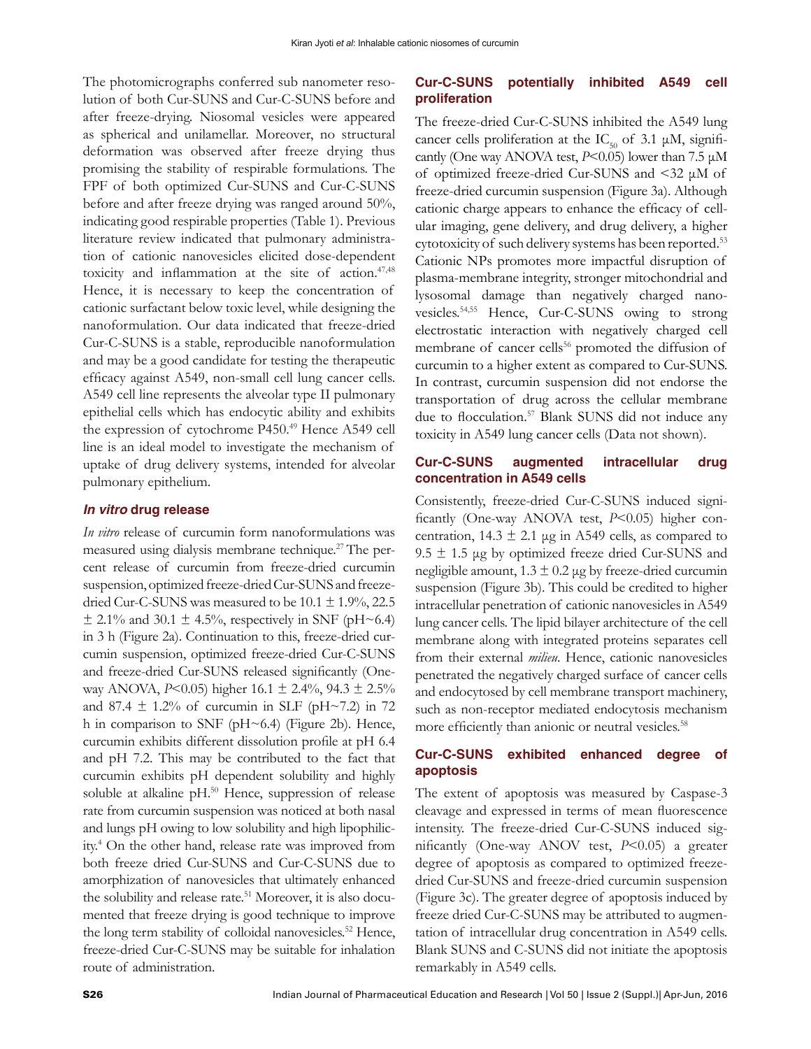The photomicrographs conferred sub nanometer resolution of both Cur-SUNS and Cur-C-SUNS before and after freeze-drying. Niosomal vesicles were appeared as spherical and unilamellar. Moreover, no structural deformation was observed after freeze drying thus promising the stability of respirable formulations. The FPF of both optimized Cur-SUNS and Cur-C-SUNS before and after freeze drying was ranged around 50%, indicating good respirable properties (Table 1). Previous literature review indicated that pulmonary administration of cationic nanovesicles elicited dose-dependent toxicity and inflammation at the site of action.<sup>47,48</sup> Hence, it is necessary to keep the concentration of cationic surfactant below toxic level, while designing the nanoformulation. Our data indicated that freeze-dried Cur-C-SUNS is a stable, reproducible nanoformulation and may be a good candidate for testing the therapeutic efficacy against A549, non-small cell lung cancer cells. A549 cell line represents the alveolar type II pulmonary epithelial cells which has endocytic ability and exhibits the expression of cytochrome P450.<sup>49</sup> Hence A549 cell line is an ideal model to investigate the mechanism of uptake of drug delivery systems, intended for alveolar pulmonary epithelium.

#### *In vitro* **drug release**

*In vitro* release of curcumin form nanoformulations was measured using dialysis membrane technique.<sup>27</sup> The percent release of curcumin from freeze-dried curcumin suspension, optimized freeze-dried Cur-SUNS and freezedried Cur-C-SUNS was measured to be  $10.1 \pm 1.9$ %, 22.5  $\pm$  2.1% and 30.1  $\pm$  4.5%, respectively in SNF (pH~6.4) in 3 h (Figure 2a). Continuation to this, freeze-dried curcumin suspension, optimized freeze-dried Cur-C-SUNS and freeze-dried Cur-SUNS released significantly (Oneway ANOVA, *P*<0.05) higher 16.1 ± 2.4%, 94.3 ± 2.5% and 87.4  $\pm$  1.2% of curcumin in SLF (pH~7.2) in 72 h in comparison to SNF (pH~6.4) (Figure 2b). Hence, curcumin exhibits different dissolution profile at pH 6.4 and pH 7.2. This may be contributed to the fact that curcumin exhibits pH dependent solubility and highly soluble at alkaline pH.<sup>50</sup> Hence, suppression of release rate from curcumin suspension was noticed at both nasal and lungs pH owing to low solubility and high lipophilicity.4 On the other hand, release rate was improved from both freeze dried Cur-SUNS and Cur-C-SUNS due to amorphization of nanovesicles that ultimately enhanced the solubility and release rate.<sup>51</sup> Moreover, it is also documented that freeze drying is good technique to improve the long term stability of colloidal nanovesicles.<sup>52</sup> Hence, freeze-dried Cur-C-SUNS may be suitable for inhalation route of administration.

#### **Cur-C-SUNS potentially inhibited A549 cell proliferation**

The freeze-dried Cur-C-SUNS inhibited the A549 lung cancer cells proliferation at the IC<sub>50</sub> of 3.1  $\mu$ M, significantly (One way ANOVA test, *P*<0.05) lower than 7.5 μM of optimized freeze-dried Cur-SUNS and <32 μM of freeze-dried curcumin suspension (Figure 3a). Although cationic charge appears to enhance the efficacy of cellular imaging, gene delivery, and drug delivery, a higher cytotoxicity of such delivery systems has been reported.<sup>53</sup> Cationic NPs promotes more impactful disruption of plasma-membrane integrity, stronger mitochondrial and lysosomal damage than negatively charged nanovesicles.54,55 Hence, Cur-C-SUNS owing to strong electrostatic interaction with negatively charged cell membrane of cancer cells<sup>56</sup> promoted the diffusion of curcumin to a higher extent as compared to Cur-SUNS. In contrast, curcumin suspension did not endorse the transportation of drug across the cellular membrane due to flocculation.<sup>57</sup> Blank SUNS did not induce any toxicity in A549 lung cancer cells (Data not shown).

#### **Cur-C-SUNS augmented intracellular drug concentration in A549 cells**

Consistently, freeze-dried Cur-C-SUNS induced significantly (One-way ANOVA test, *P*<0.05) higher concentration,  $14.3 \pm 2.1$  μg in A549 cells, as compared to 9.5  $\pm$  1.5 μg by optimized freeze dried Cur-SUNS and negligible amount,  $1.3 \pm 0.2$  µg by freeze-dried curcumin suspension (Figure 3b). This could be credited to higher intracellular penetration of cationic nanovesicles in A549 lung cancer cells. The lipid bilayer architecture of the cell membrane along with integrated proteins separates cell from their external *milieu*. Hence, cationic nanovesicles penetrated the negatively charged surface of cancer cells and endocytosed by cell membrane transport machinery, such as non-receptor mediated endocytosis mechanism more efficiently than anionic or neutral vesicles.<sup>58</sup>

#### **Cur-C-SUNS exhibited enhanced degree of apoptosis**

The extent of apoptosis was measured by Caspase-3 cleavage and expressed in terms of mean fluorescence intensity. The freeze-dried Cur-C-SUNS induced significantly (One-way ANOV test, *P*<0.05) a greater degree of apoptosis as compared to optimized freezedried Cur-SUNS and freeze-dried curcumin suspension (Figure 3c). The greater degree of apoptosis induced by freeze dried Cur-C-SUNS may be attributed to augmentation of intracellular drug concentration in A549 cells. Blank SUNS and C-SUNS did not initiate the apoptosis remarkably in A549 cells.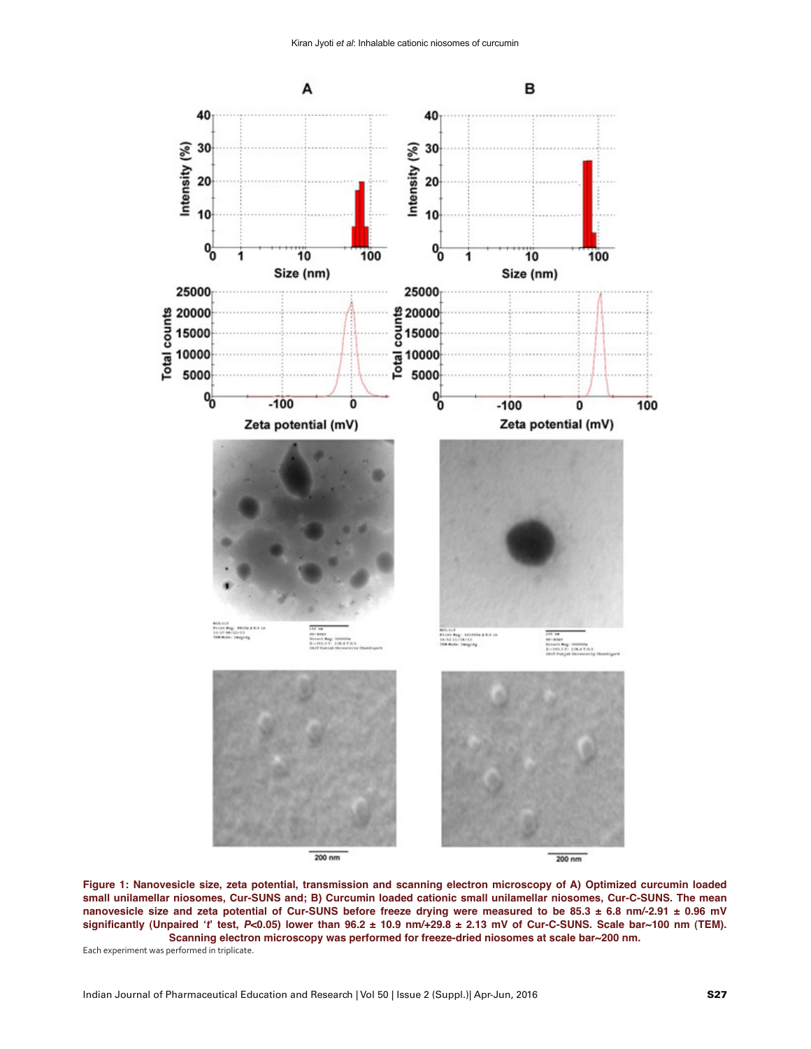

**Figure 1: Nanovesicle size, zeta potential, transmission and scanning electron microscopy of A) Optimized curcumin loaded small unilamellar niosomes, Cur-SUNS and; B) Curcumin loaded cationic small unilamellar niosomes, Cur-C-SUNS. The mean nanovesicle size and zeta potential of Cur-SUNS before freeze drying were measured to be 85.3 ± 6.8 nm/-2.91 ± 0.96 mV significantly (Unpaired 't' test, P<0.05) lower than 96.2 ± 10.9 nm/+29.8 ± 2.13 mV of Cur-C-SUNS. Scale bar~100 nm (TEM). Scanning electron microscopy was performed for freeze-dried niosomes at scale bar~200 nm.** 

Each experiment was performed in triplicate.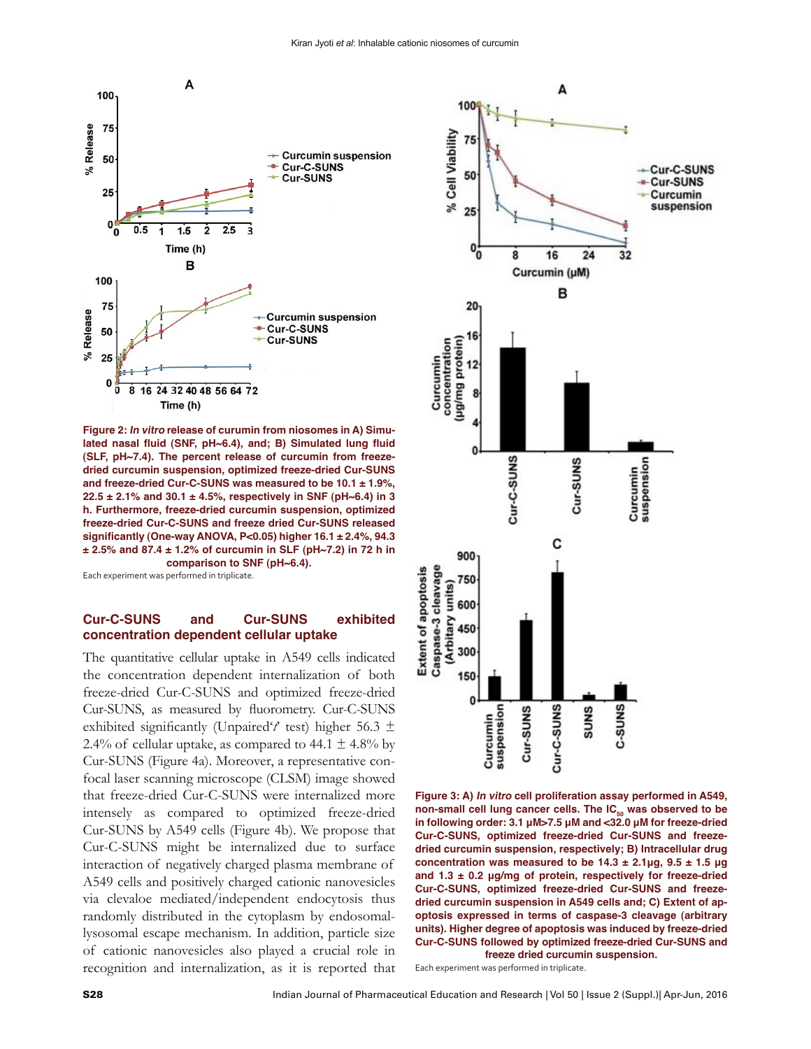

**Figure 2: In vitro release of curumin from niosomes in A) Simulated nasal fluid (SNF, pH~6.4), and; B) Simulated lung fluid (SLF, pH~7.4). The percent release of curcumin from freezedried curcumin suspension, optimized freeze-dried Cur-SUNS and freeze-dried Cur-C-SUNS was measured to be 10.1 ± 1.9%, 22.5 ± 2.1% and 30.1 ± 4.5%, respectively in SNF (pH~6.4) in 3 h. Furthermore, freeze-dried curcumin suspension, optimized freeze-dried Cur-C-SUNS and freeze dried Cur-SUNS released significantly (One-way ANOVA, P<0.05) higher 16.1 ± 2.4%, 94.3 ± 2.5% and 87.4 ± 1.2% of curcumin in SLF (pH~7.2) in 72 h in comparison to SNF (pH~6.4).**

Each experiment was performed in triplicate.

#### **Cur-C-SUNS and Cur-SUNS exhibited concentration dependent cellular uptake**

The quantitative cellular uptake in A549 cells indicated the concentration dependent internalization of both freeze-dried Cur-C-SUNS and optimized freeze-dried Cur-SUNS, as measured by fluorometry. Cur-C-SUNS exhibited significantly (Unpaired' $t'$  test) higher 56.3  $\pm$ 2.4% of cellular uptake, as compared to 44.1  $\pm$  4.8% by Cur-SUNS (Figure 4a). Moreover, a representative confocal laser scanning microscope (CLSM) image showed that freeze-dried Cur-C-SUNS were internalized more intensely as compared to optimized freeze-dried Cur-SUNS by A549 cells (Figure 4b). We propose that Cur-C-SUNS might be internalized due to surface interaction of negatively charged plasma membrane of A549 cells and positively charged cationic nanovesicles via clevaloe mediated/independent endocytosis thus randomly distributed in the cytoplasm by endosomallysosomal escape mechanism. In addition, particle size of cationic nanovesicles also played a crucial role in recognition and internalization, as it is reported that



**Figure 3: A) In vitro cell proliferation assay performed in A549,**  non-small cell lung cancer cells. The IC<sub>50</sub> was observed to be **in following order: 3.1 μM>7.5 μM and <32.0 μM for freeze-dried Cur-C-SUNS, optimized freeze-dried Cur-SUNS and freezedried curcumin suspension, respectively; B) Intracellular drug concentration was measured to be 14.3 ± 2.1μg, 9.5 ± 1.5 μg and 1.3 ± 0.2 μg/mg of protein, respectively for freeze-dried Cur-C-SUNS, optimized freeze-dried Cur-SUNS and freezedried curcumin suspension in A549 cells and; C) Extent of apoptosis expressed in terms of caspase-3 cleavage (arbitrary units). Higher degree of apoptosis was induced by freeze-dried Cur-C-SUNS followed by optimized freeze-dried Cur-SUNS and freeze dried curcumin suspension.**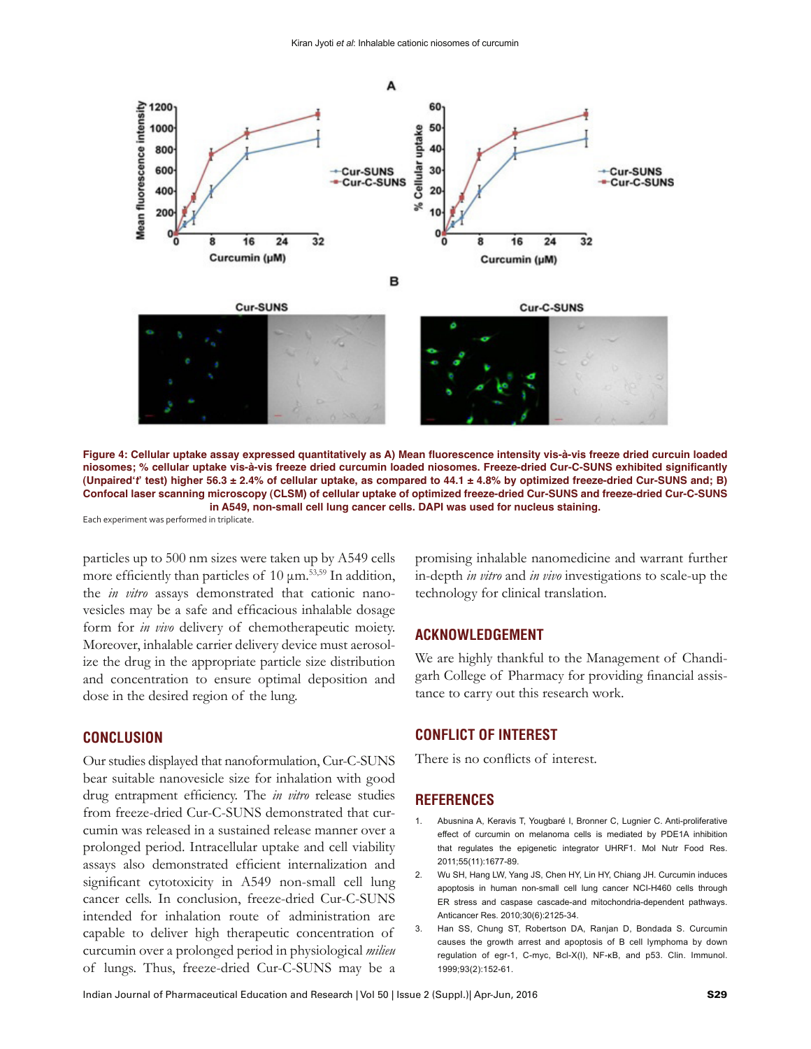



**Figure 4: Cellular uptake assay expressed quantitatively as A) Mean fluorescence intensity vis-à-vis freeze dried curcuin loaded niosomes; % cellular uptake vis-à-vis freeze dried curcumin loaded niosomes. Freeze-dried Cur-C-SUNS exhibited significantly (Unpaired't' test) higher 56.3 ± 2.4% of cellular uptake, as compared to 44.1 ± 4.8% by optimized freeze-dried Cur-SUNS and; B) Confocal laser scanning microscopy (CLSM) of cellular uptake of optimized freeze-dried Cur-SUNS and freeze-dried Cur-C-SUNS in A549, non-small cell lung cancer cells. DAPI was used for nucleus staining.**

Each experiment was performed in triplicate.

particles up to 500 nm sizes were taken up by A549 cells more efficiently than particles of  $10 \mu m$ .<sup>53,59</sup> In addition, the *in vitro* assays demonstrated that cationic nanovesicles may be a safe and efficacious inhalable dosage form for *in vivo* delivery of chemotherapeutic moiety. Moreover, inhalable carrier delivery device must aerosolize the drug in the appropriate particle size distribution and concentration to ensure optimal deposition and dose in the desired region of the lung.

#### **CONCLUSION**

Our studies displayed that nanoformulation, Cur-C-SUNS bear suitable nanovesicle size for inhalation with good drug entrapment efficiency. The *in vitro* release studies from freeze-dried Cur-C-SUNS demonstrated that curcumin was released in a sustained release manner over a prolonged period. Intracellular uptake and cell viability assays also demonstrated efficient internalization and significant cytotoxicity in A549 non-small cell lung cancer cells. In conclusion, freeze-dried Cur-C-SUNS intended for inhalation route of administration are capable to deliver high therapeutic concentration of curcumin over a prolonged period in physiological *milieu*  of lungs. Thus, freeze-dried Cur-C-SUNS may be a

promising inhalable nanomedicine and warrant further in-depth *in vitro* and *in vivo* investigations to scale-up the technology for clinical translation.

#### **ACKNOWLEDGEMENT**

We are highly thankful to the Management of Chandigarh College of Pharmacy for providing financial assistance to carry out this research work.

#### **CONFLICT OF INTEREST**

There is no conflicts of interest.

#### **REFERENCES**

- Abusnina A, Keravis T, Yougbaré I, Bronner C, Lugnier C. Anti-proliferative effect of curcumin on melanoma cells is mediated by PDE1A inhibition that regulates the epigenetic integrator UHRF1. Mol Nutr Food Res. 2011;55(11):1677-89.
- 2. Wu SH, Hang LW, Yang JS, Chen HY, Lin HY, Chiang JH. Curcumin induces apoptosis in human non-small cell lung cancer NCI-H460 cells through ER stress and caspase cascade-and mitochondria-dependent pathways. Anticancer Res. 2010;30(6):2125-34.
- 3. Han SS, Chung ST, Robertson DA, Ranjan D, Bondada S. Curcumin causes the growth arrest and apoptosis of B cell lymphoma by down regulation of egr-1, C-myc, Bcl-X(l), NF-κB, and p53. Clin. Immunol. 1999;93(2):152-61.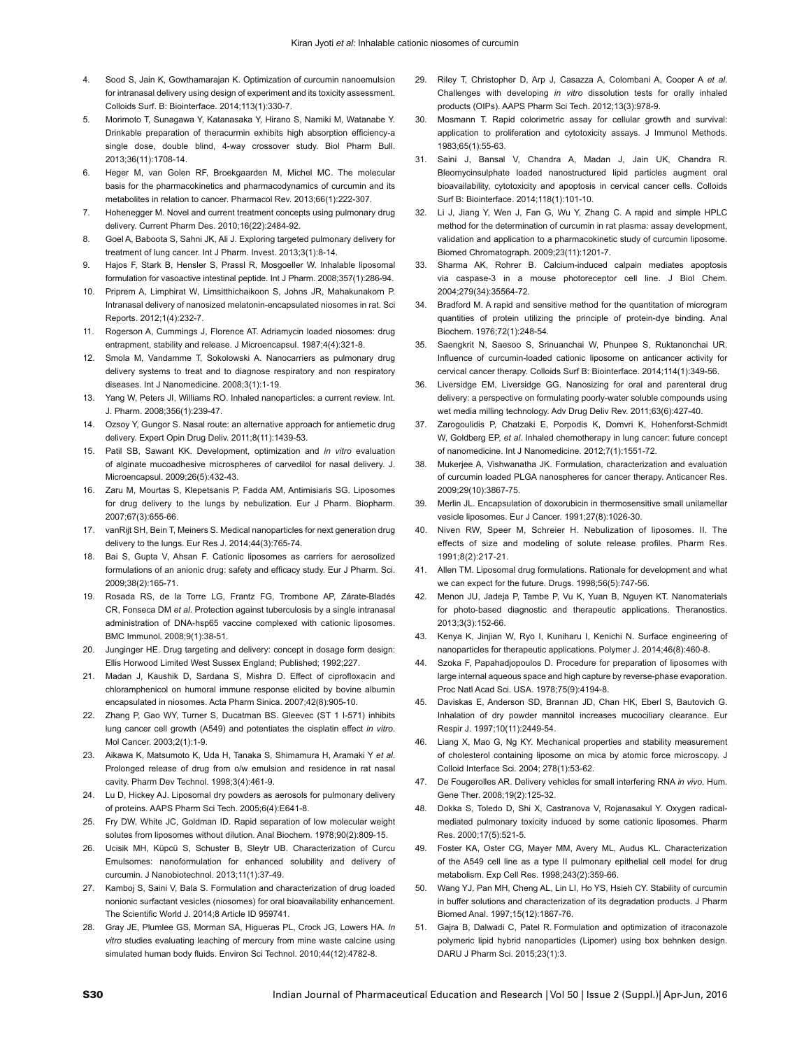- Sood S, Jain K, Gowthamarajan K. Optimization of curcumin nanoemulsion for intranasal delivery using design of experiment and its toxicity assessment. Colloids Surf. B: Biointerface. 2014;113(1):330-7.
- 5. Morimoto T, Sunagawa Y, Katanasaka Y, Hirano S, Namiki M, Watanabe Y. Drinkable preparation of theracurmin exhibits high absorption efficiency-a single dose, double blind, 4-way crossover study. Biol Pharm Bull. 2013;36(11):1708-14.
- 6. Heger M, van Golen RF, Broekgaarden M, Michel MC. The molecular basis for the pharmacokinetics and pharmacodynamics of curcumin and its metabolites in relation to cancer. Pharmacol Rev. 2013;66(1):222-307.
- 7. Hohenegger M. Novel and current treatment concepts using pulmonary drug delivery. Current Pharm Des. 2010;16(22):2484-92.
- 8. Goel A, Baboota S, Sahni JK, Ali J. Exploring targeted pulmonary delivery for treatment of lung cancer. Int J Pharm. Invest. 2013;3(1):8-14.
- 9. Hajos F, Stark B, Hensler S, Prassl R, Mosgoeller W. Inhalable liposomal formulation for vasoactive intestinal peptide. Int J Pharm. 2008;357(1):286-94.
- 10. Priprem A, Limphirat W, Limsitthichaikoon S, Johns JR, Mahakunakorn P. Intranasal delivery of nanosized melatonin-encapsulated niosomes in rat. Sci Reports. 2012;1(4):232-7.
- 11. Rogerson A, Cummings J, Florence AT. Adriamycin loaded niosomes: drug entrapment, stability and release. J Microencapsul. 1987;4(4):321-8.
- 12. Smola M, Vandamme T, Sokolowski A. Nanocarriers as pulmonary drug delivery systems to treat and to diagnose respiratory and non respiratory diseases. Int J Nanomedicine. 2008;3(1):1-19.
- 13. Yang W, Peters JI, Williams RO. Inhaled nanoparticles: a current review. Int. J. Pharm. 2008;356(1):239-47.
- 14. Ozsoy Y, Gungor S. Nasal route: an alternative approach for antiemetic drug delivery. Expert Opin Drug Deliv. 2011;8(11):1439-53.
- 15. Patil SB, Sawant KK. Development, optimization and *in vitro* evaluation of alginate mucoadhesive microspheres of carvedilol for nasal delivery. J. Microencapsul. 2009;26(5):432-43.
- 16. Zaru M, Mourtas S, Klepetsanis P, Fadda AM, Antimisiaris SG. Liposomes for drug delivery to the lungs by nebulization. Eur J Pharm. Biopharm. 2007;67(3):655-66.
- 17. vanRijt SH, Bein T, Meiners S. Medical nanoparticles for next generation drug delivery to the lungs. Eur Res J. 2014;44(3):765-74.
- 18. Bai S, Gupta V, Ahsan F. Cationic liposomes as carriers for aerosolized formulations of an anionic drug: safety and efficacy study. Eur J Pharm. Sci. 2009;38(2):165-71.
- 19. Rosada RS, de la Torre LG, Frantz FG, Trombone AP, Zárate-Bladés CR, Fonseca DM *et al*. Protection against tuberculosis by a single intranasal administration of DNA-hsp65 vaccine complexed with cationic liposomes. BMC Immunol. 2008;9(1):38-51.
- 20. Junginger HE. Drug targeting and delivery: concept in dosage form design: Ellis Horwood Limited West Sussex England; Published; 1992;227.
- 21. Madan J, Kaushik D, Sardana S, Mishra D. Effect of ciprofloxacin and chloramphenicol on humoral immune response elicited by bovine albumin encapsulated in niosomes. Acta Pharm Sinica. 2007;42(8):905-10.
- 22. Zhang P, Gao WY, Turner S, Ducatman BS. Gleevec (ST 1 I-571) inhibits lung cancer cell growth (A549) and potentiates the cisplatin effect *in vitro*. Mol Cancer. 2003;2(1):1-9.
- 23. Aikawa K, Matsumoto K, Uda H, Tanaka S, Shimamura H, Aramaki Y *et al*. Prolonged release of drug from o/w emulsion and residence in rat nasal cavity. Pharm Dev Technol. 1998;3(4):461-9.
- 24. Lu D, Hickey AJ. Liposomal dry powders as aerosols for pulmonary delivery of proteins. AAPS Pharm Sci Tech. 2005;6(4):E641-8.
- 25. Fry DW, White JC, Goldman ID. Rapid separation of low molecular weight solutes from liposomes without dilution. Anal Biochem. 1978;90(2):809-15.
- 26. Ucisik MH, Küpcü S, Schuster B, Sleytr UB. Characterization of Curcu Emulsomes: nanoformulation for enhanced solubility and delivery of curcumin. J Nanobiotechnol. 2013;11(1):37-49.
- 27. Kamboj S, Saini V, Bala S. Formulation and characterization of drug loaded nonionic surfactant vesicles (niosomes) for oral bioavailability enhancement. The Scientific World J. 2014;8 Article ID 959741.
- 28. Gray JE, Plumlee GS, Morman SA, Higueras PL, Crock JG, Lowers HA. *In vitro* studies evaluating leaching of mercury from mine waste calcine using simulated human body fluids. Environ Sci Technol. 2010;44(12):4782-8.
- 29. Riley T, Christopher D, Arp J, Casazza A, Colombani A, Cooper A *et al*. Challenges with developing *in vitro* dissolution tests for orally inhaled products (OIPs). AAPS Pharm Sci Tech. 2012;13(3):978-9.
- 30. Mosmann T. Rapid colorimetric assay for cellular growth and survival: application to proliferation and cytotoxicity assays. J Immunol Methods. 1983;65(1):55-63.
- 31. Saini J, Bansal V, Chandra A, Madan J, Jain UK, Chandra R. Bleomycinsulphate loaded nanostructured lipid particles augment oral bioavailability, cytotoxicity and apoptosis in cervical cancer cells. Colloids Surf B: Biointerface. 2014;118(1):101-10.
- 32. Li J, Jiang Y, Wen J, Fan G, Wu Y, Zhang C. A rapid and simple HPLC method for the determination of curcumin in rat plasma: assay development, validation and application to a pharmacokinetic study of curcumin liposome. Biomed Chromatograph. 2009;23(11):1201-7.
- 33. Sharma AK, Rohrer B. Calcium-induced calpain mediates apoptosis via caspase-3 in a mouse photoreceptor cell line. J Biol Chem. 2004;279(34):35564-72.
- 34. Bradford M. A rapid and sensitive method for the quantitation of microgram quantities of protein utilizing the principle of protein-dye binding. Anal Biochem. 1976;72(1):248-54.
- 35. Saengkrit N, Saesoo S, Srinuanchai W, Phunpee S, Ruktanonchai UR. Influence of curcumin-loaded cationic liposome on anticancer activity for cervical cancer therapy. Colloids Surf B: Biointerface. 2014;114(1):349-56.
- 36. Liversidge EM, Liversidge GG. Nanosizing for oral and parenteral drug delivery: a perspective on formulating poorly-water soluble compounds using wet media milling technology. Adv Drug Deliv Rev. 2011;63(6):427-40.
- 37. Zarogoulidis P, Chatzaki E, Porpodis K, Domvri K, Hohenforst-Schmidt W, Goldberg EP, *et al*. Inhaled chemotherapy in lung cancer: future concept of nanomedicine. Int J Nanomedicine. 2012;7(1):1551-72.
- 38. Mukerjee A, Vishwanatha JK. Formulation, characterization and evaluation of curcumin loaded PLGA nanospheres for cancer therapy. Anticancer Res. 2009;29(10):3867-75.
- 39. Merlin JL. Encapsulation of doxorubicin in thermosensitive small unilamellar vesicle liposomes. Eur J Cancer. 1991;27(8):1026-30.
- 40. Niven RW, Speer M, Schreier H. Nebulization of liposomes. II. The effects of size and modeling of solute release profiles. Pharm Res. 1991;8(2):217-21.
- 41. Allen TM. Liposomal drug formulations. Rationale for development and what we can expect for the future. Drugs. 1998;56(5):747-56.
- 42. Menon JU, Jadeja P, Tambe P, Vu K, Yuan B, Nguyen KT. Nanomaterials for photo-based diagnostic and therapeutic applications. Theranostics. 2013;3(3):152-66.
- 43. Kenya K, Jinjian W, Ryo I, Kuniharu I, Kenichi N. Surface engineering of nanoparticles for therapeutic applications. Polymer J. 2014;46(8):460-8.
- 44. Szoka F, Papahadjopoulos D. Procedure for preparation of liposomes with large internal aqueous space and high capture by reverse-phase evaporation. Proc Natl Acad Sci. USA. 1978;75(9):4194-8.
- 45. Daviskas E, Anderson SD, Brannan JD, Chan HK, Eberl S, Bautovich G. Inhalation of dry powder mannitol increases mucociliary clearance. Eur Respir J. 1997;10(11):2449-54.
- 46. Liang X, Mao G, Ng KY. Mechanical properties and stability measurement of cholesterol containing liposome on mica by atomic force microscopy. J Colloid Interface Sci. 2004; 278(1):53-62.
- 47. De Fougerolles AR. Delivery vehicles for small interfering RNA *in vivo*. Hum. Gene Ther. 2008;19(2):125-32.
- 48. Dokka S, Toledo D, Shi X, Castranova V, Rojanasakul Y. Oxygen radicalmediated pulmonary toxicity induced by some cationic liposomes. Pharm Res. 2000;17(5):521-5.
- 49. Foster KA, Oster CG, Mayer MM, Avery ML, Audus KL. Characterization of the A549 cell line as a type II pulmonary epithelial cell model for drug metabolism. Exp Cell Res. 1998;243(2):359-66.
- 50. Wang YJ, Pan MH, Cheng AL, Lin LI, Ho YS, Hsieh CY. Stability of curcumin in buffer solutions and characterization of its degradation products. J Pharm Biomed Anal. 1997;15(12):1867-76.
- 51. Gajra B, Dalwadi C, Patel R. Formulation and optimization of itraconazole polymeric lipid hybrid nanoparticles (Lipomer) using box behnken design. DARU J Pharm Sci. 2015;23(1):3.